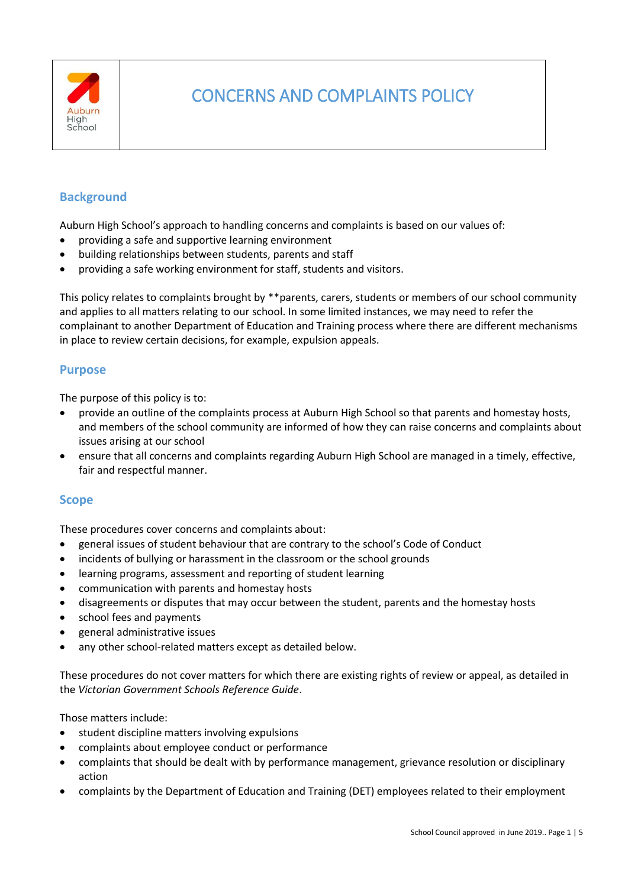

# CONCERNS AND COMPLAINTS POLICY

## **Background**

Auburn High School's approach to handling concerns and complaints is based on our values of:

- providing a safe and supportive learning environment
- building relationships between students, parents and staff
- providing a safe working environment for staff, students and visitors.

This policy relates to complaints brought by \*\*parents, carers, students or members of our school community and applies to all matters relating to our school. In some limited instances, we may need to refer the complainant to another Department of Education and Training process where there are different mechanisms in place to review certain decisions, for example, expulsion appeals.

## **Purpose**

The purpose of this policy is to:

- provide an outline of the complaints process at Auburn High School so that parents and homestay hosts, and members of the school community are informed of how they can raise concerns and complaints about issues arising at our school
- ensure that all concerns and complaints regarding Auburn High School are managed in a timely, effective, fair and respectful manner.

## **Scope**

These procedures cover concerns and complaints about:

- general issues of student behaviour that are contrary to the school's Code of Conduct
- incidents of bullying or harassment in the classroom or the school grounds
- learning programs, assessment and reporting of student learning
- communication with parents and homestay hosts
- disagreements or disputes that may occur between the student, parents and the homestay hosts
- school fees and payments
- general administrative issues
- any other school-related matters except as detailed below.

These procedures do not cover matters for which there are existing rights of review or appeal, as detailed in the *Victorian Government Schools Reference Guide*.

Those matters include:

- student discipline matters involving expulsions
- complaints about employee conduct or performance
- complaints that should be dealt with by performance management, grievance resolution or disciplinary action
- complaints by the Department of Education and Training (DET) employees related to their employment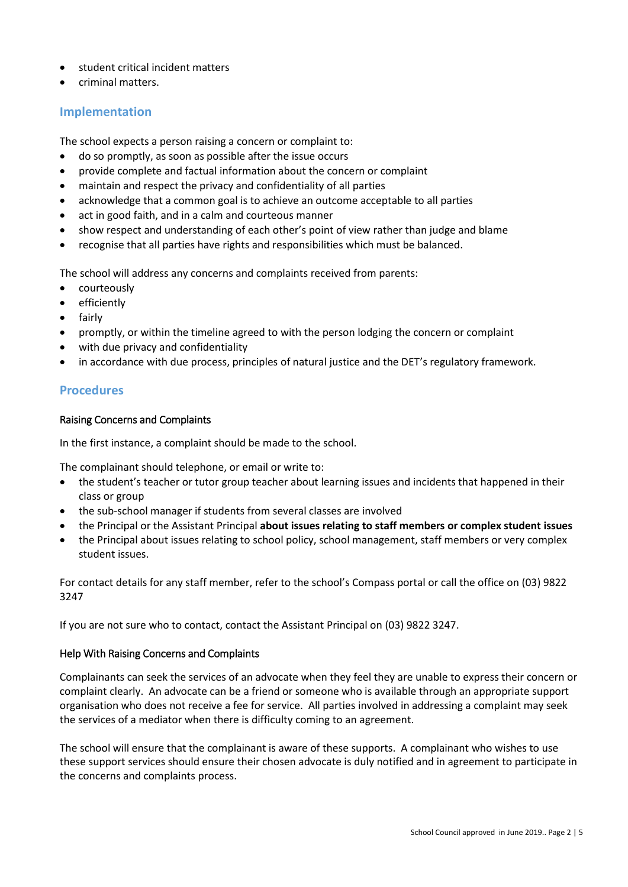- student critical incident matters
- criminal matters.

## **Implementation**

The school expects a person raising a concern or complaint to:

- do so promptly, as soon as possible after the issue occurs
- provide complete and factual information about the concern or complaint
- maintain and respect the privacy and confidentiality of all parties
- acknowledge that a common goal is to achieve an outcome acceptable to all parties
- act in good faith, and in a calm and courteous manner
- show respect and understanding of each other's point of view rather than judge and blame
- recognise that all parties have rights and responsibilities which must be balanced.

The school will address any concerns and complaints received from parents:

- courteously
- efficiently
- fairly
- promptly, or within the timeline agreed to with the person lodging the concern or complaint
- with due privacy and confidentiality
- in accordance with due process, principles of natural justice and the DET's regulatory framework.

## **Procedures**

#### Raising Concerns and Complaints

In the first instance, a complaint should be made to the school.

The complainant should telephone, or email or write to:

- the student's teacher or tutor group teacher about learning issues and incidents that happened in their class or group
- the sub-school manager if students from several classes are involved
- the Principal or the Assistant Principal **about issues relating to staff members or complex student issues**
- the Principal about issues relating to school policy, school management, staff members or very complex student issues.

For contact details for any staff member, refer to the school's Compass portal or call the office on (03) 9822 3247

If you are not sure who to contact, contact the Assistant Principal on (03) 9822 3247.

#### Help With Raising Concerns and Complaints

Complainants can seek the services of an advocate when they feel they are unable to express their concern or complaint clearly. An advocate can be a friend or someone who is available through an appropriate support organisation who does not receive a fee for service. All parties involved in addressing a complaint may seek the services of a mediator when there is difficulty coming to an agreement.

The school will ensure that the complainant is aware of these supports. A complainant who wishes to use these support services should ensure their chosen advocate is duly notified and in agreement to participate in the concerns and complaints process.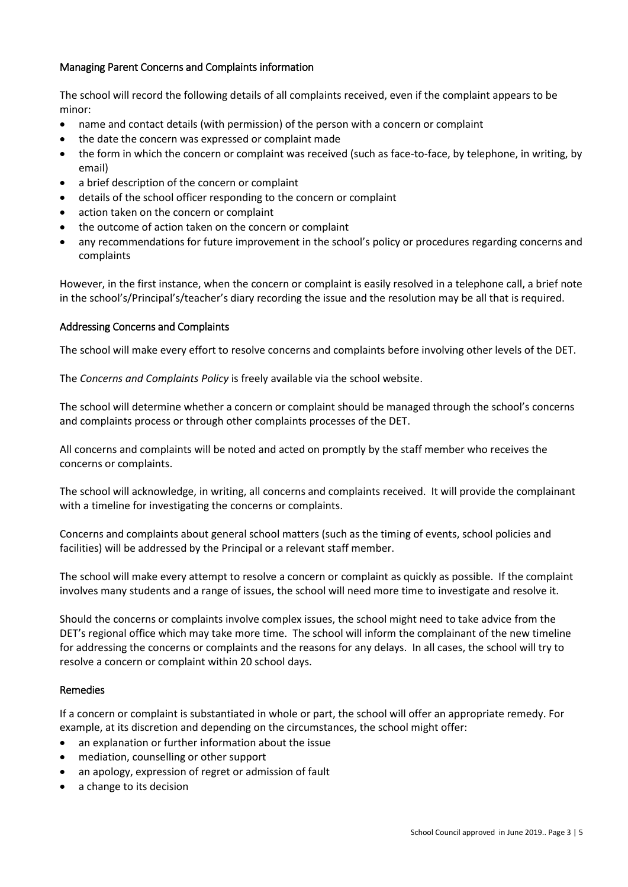## Managing Parent Concerns and Complaints information

The school will record the following details of all complaints received, even if the complaint appears to be minor:

- name and contact details (with permission) of the person with a concern or complaint
- the date the concern was expressed or complaint made
- the form in which the concern or complaint was received (such as face-to-face, by telephone, in writing, by email)
- a brief description of the concern or complaint
- details of the school officer responding to the concern or complaint
- action taken on the concern or complaint
- the outcome of action taken on the concern or complaint
- any recommendations for future improvement in the school's policy or procedures regarding concerns and complaints

However, in the first instance, when the concern or complaint is easily resolved in a telephone call, a brief note in the school's/Principal's/teacher's diary recording the issue and the resolution may be all that is required.

#### Addressing Concerns and Complaints

The school will make every effort to resolve concerns and complaints before involving other levels of the DET.

The *Concerns and Complaints Policy* is freely available via the school website.

The school will determine whether a concern or complaint should be managed through the school's concerns and complaints process or through other complaints processes of the DET.

All concerns and complaints will be noted and acted on promptly by the staff member who receives the concerns or complaints.

The school will acknowledge, in writing, all concerns and complaints received. It will provide the complainant with a timeline for investigating the concerns or complaints.

Concerns and complaints about general school matters (such as the timing of events, school policies and facilities) will be addressed by the Principal or a relevant staff member.

The school will make every attempt to resolve a concern or complaint as quickly as possible. If the complaint involves many students and a range of issues, the school will need more time to investigate and resolve it.

Should the concerns or complaints involve complex issues, the school might need to take advice from the DET's regional office which may take more time. The school will inform the complainant of the new timeline for addressing the concerns or complaints and the reasons for any delays. In all cases, the school will try to resolve a concern or complaint within 20 school days.

## Remedies

If a concern or complaint is substantiated in whole or part, the school will offer an appropriate remedy. For example, at its discretion and depending on the circumstances, the school might offer:

- an explanation or further information about the issue
- mediation, counselling or other support
- an apology, expression of regret or admission of fault
- a change to its decision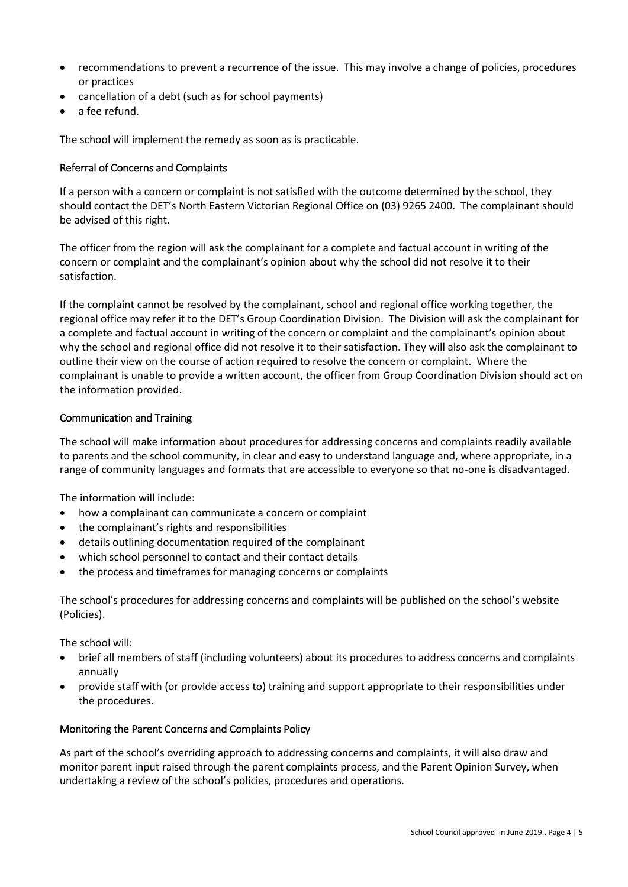- recommendations to prevent a recurrence of the issue. This may involve a change of policies, procedures or practices
- cancellation of a debt (such as for school payments)
- a fee refund.

The school will implement the remedy as soon as is practicable.

#### Referral of Concerns and Complaints

If a person with a concern or complaint is not satisfied with the outcome determined by the school, they should contact the DET's North Eastern Victorian Regional Office on (03) 9265 2400. The complainant should be advised of this right.

The officer from the region will ask the complainant for a complete and factual account in writing of the concern or complaint and the complainant's opinion about why the school did not resolve it to their satisfaction.

If the complaint cannot be resolved by the complainant, school and regional office working together, the regional office may refer it to the DET's Group Coordination Division. The Division will ask the complainant for a complete and factual account in writing of the concern or complaint and the complainant's opinion about why the school and regional office did not resolve it to their satisfaction. They will also ask the complainant to outline their view on the course of action required to resolve the concern or complaint. Where the complainant is unable to provide a written account, the officer from Group Coordination Division should act on the information provided.

#### Communication and Training

The school will make information about procedures for addressing concerns and complaints readily available to parents and the school community, in clear and easy to understand language and, where appropriate, in a range of community languages and formats that are accessible to everyone so that no-one is disadvantaged.

The information will include:

- how a complainant can communicate a concern or complaint
- the complainant's rights and responsibilities
- details outlining documentation required of the complainant
- which school personnel to contact and their contact details
- the process and timeframes for managing concerns or complaints

The school's procedures for addressing concerns and complaints will be published on the school's website (Policies).

The school will:

- brief all members of staff (including volunteers) about its procedures to address concerns and complaints annually
- provide staff with (or provide access to) training and support appropriate to their responsibilities under the procedures.

#### Monitoring the Parent Concerns and Complaints Policy

As part of the school's overriding approach to addressing concerns and complaints, it will also draw and monitor parent input raised through the parent complaints process, and the Parent Opinion Survey, when undertaking a review of the school's policies, procedures and operations.